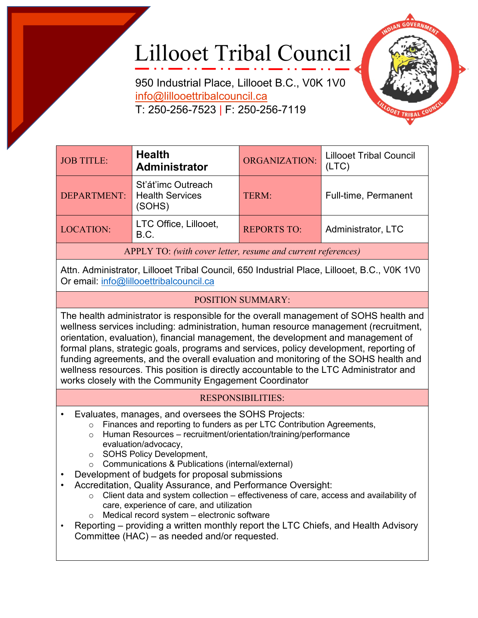## Lillooet Tribal Council

950 Industrial Place, Lillooet B.C., V0K 1V0 [info@lillooettribalcouncil.ca](mailto:info@lillooettribalcouncil.ca) T: 250-256-7523 | F: 250-256-7119



| <b>JOB TITLE:</b>                                            | <b>Health</b><br>Administrator                         | ORGANIZATION:      | <b>Lillooet Tribal Council</b><br>(LTC) |  |
|--------------------------------------------------------------|--------------------------------------------------------|--------------------|-----------------------------------------|--|
| DEPARTMENT:                                                  | St'át'imc Outreach<br><b>Health Services</b><br>(SOHS) | TERM:              | Full-time, Permanent                    |  |
| <b>LOCATION:</b>                                             | LTC Office, Lillooet,<br>B.C.                          | <b>REPORTS TO:</b> | Administrator, LTC                      |  |
| APPLY TO: (with cover letter, resume and current references) |                                                        |                    |                                         |  |

Attn. Administrator, Lillooet Tribal Council, 650 Industrial Place, Lillooet, B.C., V0K 1V0 Or email: [info@lillooettribalcouncil.ca](mailto:info@lillooettribalcouncil.ca)

## POSITION SUMMARY:

The health administrator is responsible for the overall management of SOHS health and wellness services including: administration, human resource management (recruitment, orientation, evaluation), financial management, the development and management of formal plans, strategic goals, programs and services, policy development, reporting of funding agreements, and the overall evaluation and monitoring of the SOHS health and wellness resources. This position is directly accountable to the LTC Administrator and works closely with the Community Engagement Coordinator

## RESPONSIBILITIES:

- Evaluates, manages, and oversees the SOHS Projects:
	- o Finances and reporting to funders as per LTC Contribution Agreements,
	- o Human Resources recruitment/orientation/training/performance evaluation/advocacy,
	- o SOHS Policy Development,
	- o Communications & Publications (internal/external)
- Development of budgets for proposal submissions
- Accreditation, Quality Assurance, and Performance Oversight:
	- $\circ$  Client data and system collection effectiveness of care, access and availability of care, experience of care, and utilization
	- o Medical record system electronic software
- Reporting providing a written monthly report the LTC Chiefs, and Health Advisory Committee (HAC) – as needed and/or requested.